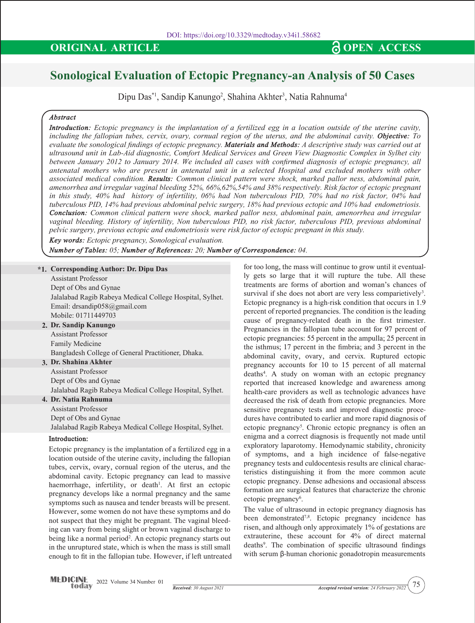# **Sonological Evaluation of Ectopic Pregnancy-an Analysis of 50 Cases**

Dipu Das\*1, Sandip Kanungo<sup>2</sup>, Shahina Akhter<sup>3</sup>, Natia Rahnuma<sup>4</sup>

# *Abstract*

*Introduction: Ectopic pregnancy is the implantation of a fertilized egg in a location outside of the uterine cavity, including the fallopian tubes, cervix, ovary, cornual region of the uterus, and the abdominal cavity. Objective: To evaluate the sonological findings of ectopic pregnancy. Materials and Methods: A descriptive study was carried out at ultrasound unit in Lab-Aid diagnostic, Comfort Medical Services and Green View Diagnostic Complex in Sylhet city between January 2012 to January 2014. We included all cases with confirmed diagnosis of ectopic pregnancy, all antenatal mothers who are present in antenatal unit in a selected Hospital and excluded mothers with other associated medical condition. Results: Common clinical pattern were shock, marked pallor ness, abdominal pain, amenorrhea and irregular vaginal bleeding 52%, 66%,62%,54% and 38% respectively. Risk factor of ectopic pregnant in this study, 40% had history of infertility, 06% had Non tuberculous PID, 70% had no risk factor, 04% had tuberculous PID, 14% had previous abdominal pelvic surgery, 18% had previous ectopic and 10% had endometriosis. Conclusion: Common clinical pattern were shock, marked pallor ness, abdominal pain, amenorrhea and irregular vaginal bleeding. History of infertility, Non tuberculous PID, no risk factor, tuberculous PID, previous abdominal pelvic surgery, previous ectopic and endometriosis were risk factor of ectopic pregnant in this study.*

*Key words: Ectopic pregnancy, Sonological evaluation.*

*Number of Tables: 05; Number of References: 20; Number of Correspondence: 04.*

# **\*1. Corresponding Author: Dr. Dipu Das**

| Assistant Professor                                      |
|----------------------------------------------------------|
| Dept of Obs and Gynae                                    |
| Jalalabad Ragib Rabeya Medical College Hospital, Sylhet. |
| Email: drsandip $058$ @gmail.com                         |
| Mobile: 01711449703                                      |
| 2. Dr. Sandip Kanungo                                    |
| Assistant Professor                                      |
| <b>Family Medicine</b>                                   |
| Bangladesh College of General Practitioner, Dhaka.       |
| 3. Dr. Shahina Akhter                                    |
| <b>Assistant Professor</b>                               |
| Dept of Obs and Gynae                                    |
| Jalalabad Ragib Rabeya Medical College Hospital, Sylhet. |
| 4. Dr. Natia Rahnuma                                     |
| Assistant Professor                                      |
| Dept of Obs and Gynae                                    |
| Jalalabad Ragib Rabeya Medical College Hospital, Sylhet. |
|                                                          |

# **Introduction:**

Ectopic pregnancy is the implantation of a fertilized egg in a location outside of the uterine cavity, including the fallopian tubes, cervix, ovary, cornual region of the uterus, and the abdominal cavity. Ectopic pregnancy can lead to massive haemorrhage, infertility, or death<sup>1</sup>. At first an ectopic pregnancy develops like a normal pregnancy and the same symptoms such as nausea and tender breasts will be present. However, some women do not have these symptoms and do not suspect that they might be pregnant. The vaginal bleeding can vary from being slight or brown vaginal discharge to being like a normal period<sup>2</sup>. An ectopic pregnancy starts out in the unruptured state, which is when the mass is still small enough to fit in the fallopian tube. However, if left untreated for too long, the mass will continue to grow until it eventually gets so large that it will rupture the tube. All these treatments are forms of abortion and woman's chances of survival if she does not abort are very less comparietively<sup>3</sup>. Ectopic pregnancy is a high-risk condition that occurs in 1.9 percent of reported pregnancies. The condition is the leading cause of pregnancy-related death in the first trimester. Pregnancies in the fallopian tube account for 97 percent of ectopic pregnancies: 55 percent in the ampulla; 25 percent in the isthmus; 17 percent in the fimbria; and 3 percent in the abdominal cavity, ovary, and cervix. Ruptured ectopic pregnancy accounts for 10 to 15 percent of all maternal deaths4 . A study on woman with an ectopic pregnancy reported that increased knowledge and awareness among health-care providers as well as technologic advances have decreased the risk of death from ectopic pregnancies. More sensitive pregnancy tests and improved diagnostic procedures have contributed to earlier and more rapid diagnosis of ectopic pregnancy<sup>5</sup>. Chronic ectopic pregnancy is often an enigma and a correct diagnosis is frequently not made until exploratory laparotomy. Hemodynamic stability, chronicity of symptoms, and a high incidence of false-negative pregnancy tests and culdocentesis results are clinical characteristics distinguishing it from the more common acute ectopic pregnancy. Dense adhesions and occasional abscess formation are surgical features that characterize the chronic ectopic pregnancy<sup>6</sup>.

The value of ultrasound in ectopic pregnancy diagnosis has been demonstrated<sup>7,8</sup>. Ectopic pregnancy incidence has risen, and although only approximately 1% of gestations are extrauterine, these account for 4% of direct maternal deaths<sup>9</sup>. The combination of specific ultrasound findings with serum β-human chorionic gonadotropin measurements

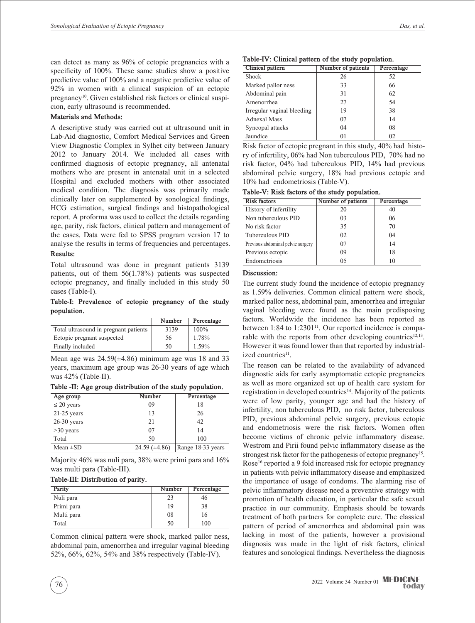can detect as many as 96% of ectopic pregnancies with a specificity of 100%. These same studies show a positive predictive value of 100% and a negative predictive value of 92% in women with a clinical suspicion of an ectopic pregnancy<sup>10</sup>. Given established risk factors or clinical suspicion, early ultrasound is recommended.

### **Materials and Methods:**

A descriptive study was carried out at ultrasound unit in Lab-Aid diagnostic, Comfort Medical Services and Green View Diagnostic Complex in Sylhet city between January 2012 to January 2014. We included all cases with confirmed diagnosis of ectopic pregnancy, all antenatal mothers who are present in antenatal unit in a selected Hospital and excluded mothers with other associated medical condition. The diagnosis was primarily made clinically later on supplemented by sonological findings, HCG estimation, surgical findings and histopathological report. A proforma was used to collect the details regarding age, parity, risk factors, clinical pattern and management of the cases. Data were fed to SPSS program version 17 to analyse the results in terms of frequencies and percentages.

# **Results:**

Total ultrasound was done in pregnant patients 3139 patients, out of them 56(1.78%) patients was suspected ectopic pregnancy, and finally included in this study 50 cases (Table-I).

# **Table-I: Prevalence of ectopic pregnancy of the study population.**

|                                       | Number | Percentage |
|---------------------------------------|--------|------------|
| Total ultrasound in pregnant patients | 3139   | $100\%$    |
| Ectopic pregnant suspected            | 56     | 1.78%      |
| Finally included                      | 50     | 1.59%      |

Mean age was  $24.59(\pm 4.86)$  minimum age was 18 and 33 years, maximum age group was 26-30 years of age which was 42% (Table-II).

**Table -II: Age group distribution of the study population.**

| Age group       | Number               | Percentage        |
|-----------------|----------------------|-------------------|
| $\leq$ 20 years | 09                   | 18                |
| $21-25$ years   | 13                   | 26                |
| $26-30$ years   | 21                   | 42                |
| $>30$ years     | 07                   | 14                |
| Total           | 50                   | 100               |
| Mean $\pm SD$   | $24.59 \ (\pm 4.86)$ | Range 18-33 years |

Majority 46% was nuli para, 38% were primi para and 16% was multi para (Table-III).

#### **Table-III: Distribution of parity.**

| Parity     | Number | Percentage |
|------------|--------|------------|
| Nuli para  | 23     | 46         |
| Primi para | 19     | 38         |
| Multi para | 08     | 16         |
| Total      | 50     | 100        |

Common clinical pattern were shock, marked pallor ness, abdominal pain, amenorrhea and irregular vaginal bleeding 52%, 66%, 62%, 54% and 38% respectively (Table-IV).

| Table-IV: Clinical pattern of the study population. |  |  |  |  |
|-----------------------------------------------------|--|--|--|--|
|-----------------------------------------------------|--|--|--|--|

| Clinical pattern           | Number of patients | Percentage |
|----------------------------|--------------------|------------|
| <b>Shock</b>               | 26                 | 52         |
| Marked pallor ness         | 33                 | 66         |
| Abdominal pain             | 31                 | 62         |
| Amenorrhea                 | 27                 | 54         |
| Irregular vaginal bleeding | 19                 | 38         |
| <b>Adnexal Mass</b>        | 07                 | 14         |
| Syncopal attacks           | 04                 | 08         |
| Jaundice                   | 01                 | 02         |

Risk factor of ectopic pregnant in this study, 40% had history of infertility, 06% had Non tuberculous PID, 70% had no risk factor, 04% had tuberculous PID, 14% had previous abdominal pelvic surgery, 18% had previous ectopic and 10% had endometriosis (Table-V).

**Table-V: Risk factors of the study population.**

| <b>Risk factors</b>               | Number of patients | Percentage |
|-----------------------------------|--------------------|------------|
| History of infertility            | 20                 | 40         |
| Non tuberculous PID               | 03                 | 06         |
| No risk factor                    | 35                 | 70         |
| Tuberculous PID                   | 02                 | 04         |
| Previous abdominal pelvic surgery | 07                 | 14         |
| Previous ectopic                  | 09                 | 18         |
| Endometriosis                     | 05                 | 10         |

# **Discussion:**

The current study found the incidence of ectopic pregnancy as 1.59% deliveries. Common clinical pattern were shock, marked pallor ness, abdominal pain, amenorrhea and irregular vaginal bleeding were found as the main predisposing factors. Worldwide the incidence has been reported as between  $1:84$  to  $1:2301<sup>11</sup>$ . Our reported incidence is comparable with the reports from other developing countries<sup>12,13</sup>. However it was found lower than that reported by industrialized countries<sup>11</sup>.

The reason can be related to the availability of advanced diagnostic aids for early asymptomatic ectopic pregnancies as well as more organized set up of health care system for registration in developed countries<sup>14</sup>. Majority of the patients were of low parity, younger age and had the history of infertility, non tuberculous PID, no risk factor, tuberculous PID, previous abdominal pelvic surgery, previous ectopic and endometriosis were the risk factors. Women often become victims of chronic pelvic inflammatory disease. Westrom and Pirii found pelvic inflammatory disease as the strongest risk factor for the pathogenesis of ectopic pregnancy<sup>15</sup>. Rose<sup>16</sup> reported a 9 fold increased risk for ectopic pregnancy in patients with pelvic inflammatory disease and emphasized the importance of usage of condoms. The alarming rise of pelvic inflammatory disease need a preventive strategy with promotion of health education, in particular the safe sexual practice in our community. Emphasis should be towards treatment of both partners for complete cure. The classical pattern of period of amenorrhea and abdominal pain was lacking in most of the patients, however a provisional diagnosis was made in the light of risk factors, clinical features and sonological findings. Nevertheless the diagnosis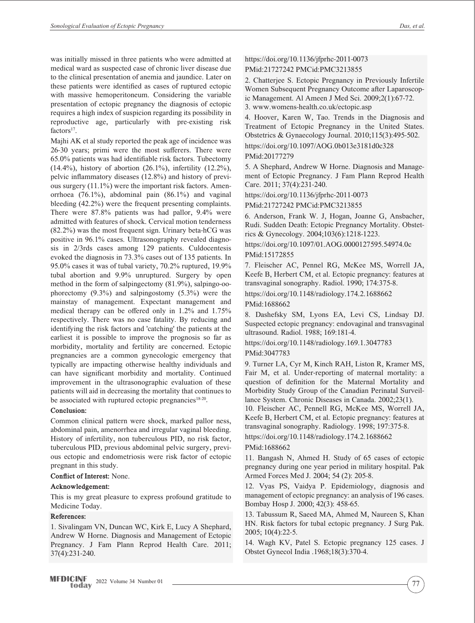was initially missed in three patients who were admitted at medical ward as suspected case of chronic liver disease due to the clinical presentation of anemia and jaundice. Later on these patients were identified as cases of ruptured ectopic with massive hemoperitoneum. Considering the variable presentation of ectopic pregnancy the diagnosis of ectopic requires a high index of suspicion regarding its possibility in reproductive age, particularly with pre-existing risk  $factors<sup>17</sup>$ .

Majhi AK et al study reported the peak age of incidence was 26-30 years; primi were the most sufferers. There were 65.0% patients was had identifiable risk factors. Tubectomy  $(14.4\%)$ , history of abortion  $(26.1\%)$ , infertility  $(12.2\%)$ , pelvic inflammatory diseases (12.8%) and history of previous surgery (11.1%) were the important risk factors. Amenorrhoea (76.1%), abdominal pain (86.1%) and vaginal bleeding (42.2%) were the frequent presenting complaints. There were 87.8% patients was had pallor, 9.4% were admitted with features of shock. Cervical motion tenderness (82.2%) was the most frequent sign. Urinary beta-hCG was positive in 96.1% cases. Ultrasonography revealed diagnosis in 2/3rds cases among 129 patients. Culdocentesis evoked the diagnosis in 73.3% cases out of 135 patients. In 95.0% cases it was of tubal variety, 70.2% ruptured, 19.9% tubal abortion and 9.9% unruptured. Surgery by open method in the form of salpingectomy (81.9%), salpingo-oophorectomy (9.3%) and salpingostomy (5.3%) were the mainstay of management. Expectant management and medical therapy can be offered only in 1.2% and 1.75% respectively. There was no case fatality. By reducing and identifying the risk factors and 'catching' the patients at the earliest it is possible to improve the prognosis so far as morbidity, mortality and fertility are concerned. Ectopic pregnancies are a common gynecologic emergency that typically are impacting otherwise healthy individuals and can have significant morbidity and mortality. Continued improvement in the ultrasonographic evaluation of these patients will aid in decreasing the mortality that continues to be associated with ruptured ectopic pregnancies<sup>18-20</sup>.

# **Conclusion:**

Common clinical pattern were shock, marked pallor ness, abdominal pain, amenorrhea and irregular vaginal bleeding. History of infertility, non tuberculous PID, no risk factor, tuberculous PID, previous abdominal pelvic surgery, previous ectopic and endometriosis were risk factor of ectopic pregnant in this study.

# **Conflict of Interest:** None.

# **Acknowledgement:**

This is my great pleasure to express profound gratitude to Medicine Today.

# **References:**

1. Sivalingam VN, Duncan WC, Kirk E, Lucy A Shephard, Andrew W Horne. Diagnosis and Management of Ectopic Pregnancy. J Fam Plann Reprod Health Care. 2011; 37(4):231-240.

https://doi.org/10.1136/jfprhc-2011-0073 PMid:21727242 PMCid:PMC3213855

2. Chatterjee S. Ectopic Pregnancy in Previously Infertile Women Subsequent Pregnancy Outcome after Laparoscopic Management. Al Ameen J Med Sci. 2009;2(1):67-72.

3. www.womens-health.co.uk/ectopic.asp

4. Hoover, Karen W, Tao. Trends in the Diagnosis and Treatment of Ectopic Pregnancy in the United States. Obstetrics & Gynaecology Journal. 2010;115(3):495-502.

https://doi.org/10.1097/AOG.0b013e3181d0c328

PMid:20177279

5. A Shephard, Andrew W Horne. Diagnosis and Management of Ectopic Pregnancy. J Fam Plann Reprod Health Care. 2011; 37(4):231-240.

https://doi.org/10.1136/jfprhc-2011-0073

PMid:21727242 PMCid:PMC3213855

6. Anderson, Frank W. J, Hogan, Joanne G, Ansbacher, Rudi. Sudden Death: Ectopic Pregnancy Mortality. Obstetrics & Gynecology. 2004;103(6):1218-1223.

https://doi.org/10.1097/01.AOG.0000127595.54974.0c PMid:15172855

7. Fleischer AC, Pennel RG, McKee MS, Worrell JA, Keefe B, Herbert CM, et al. Ectopic pregnancy: features at transvaginal sonography. Radiol. 1990; 174:375-8.

https://doi.org/10.1148/radiology.174.2.1688662

PMid:1688662

8. Dashefsky SM, Lyons EA, Levi CS, Lindsay DJ. Suspected ectopic pregnancy: endovaginal and transvaginal ultrasound. Radiol. 1988; 169:181-4.

https://doi.org/10.1148/radiology.169.1.3047783 PMid:3047783

9. Turner LA, Cyr M, Kinch RAH, Liston R, Kramer MS, Fair M, et al. Under-reporting of maternal mortality: a question of definition for the Maternal Mortality and Morbidity Study Group of the Canadian Perinatal Surveillance System. Chronic Diseases in Canada. 2002;23(1).

10. Fleischer AC, Pennell RG, McKee MS, Worrell JA, Keefe B, Herbert CM, et al. Ectopic pregnancy: features at transvaginal sonography. Radiology. 1998; 197:375-8.

https://doi.org/10.1148/radiology.174.2.1688662

# PMid:1688662

11. Bangash N, Ahmed H. Study of 65 cases of ectopic pregnancy during one year period in military hospital. Pak Armed Forces Med J. 2004; 54 (2): 205-8.

12. Vyas PS, Vaidya P. Epidemiology, diagnosis and management of ectopic pregnancy: an analysis of 196 cases. Bombay Hosp J. 2000; 42(3): 458-65.

13. Tabussum R, Saeed MA, Ahmed M, Naureen S, Khan HN. Risk factors for tubal ectopic pregnancy. J Surg Pak. 2005; 10(4):22-5.

14. Wagh KV, Patel S. Ectopic pregnancy 125 cases. J Obstet Gynecol India .1968;18(3):370-4.